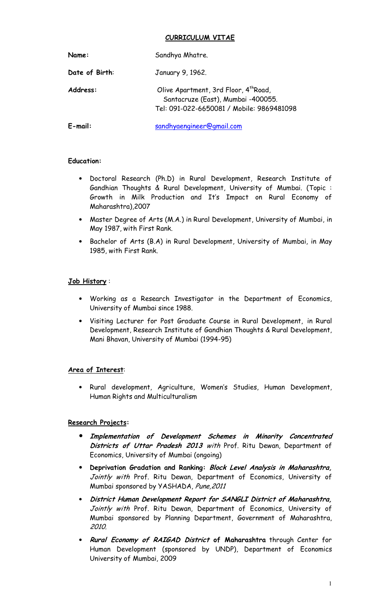## **CURRICULUM VITAE**

| Name:          | Sandhya Mhatre.                                                                                                                      |
|----------------|--------------------------------------------------------------------------------------------------------------------------------------|
| Date of Birth: | January 9, 1962.                                                                                                                     |
| Address:       | Olive Apartment, 3rd Floor, 4 <sup>th</sup> Road,<br>Santacruze (East), Mumbai -400055.<br>Tel: 091-022-6650081 / Mobile: 9869481098 |
| $E$ -mail:     | sandhyaengineer@gmail.com                                                                                                            |

#### **Education:**

- Doctoral Research (Ph.D) in Rural Development, Research Institute of Gandhian Thoughts & Rural Development, University of Mumbai. (Topic : Growth in Milk Production and It's Impact on Rural Economy of Maharashtra),2007
- Master Degree of Arts (M.A.) in Rural Development, University of Mumbai, in May 1987, with First Rank.
- Bachelor of Arts (B.A) in Rural Development, University of Mumbai, in May 1985, with First Rank.

#### **Job History** :

- Working as a Research Investigator in the Department of Economics, University of Mumbai since 1988.
- Visiting Lecturer for Post Graduate Course in Rural Development, in Rural Development, Research Institute of Gandhian Thoughts & Rural Development, Mani Bhavan, University of Mumbai (1994-95)

## **Area of Interest**:

• Rural development, Agriculture, Women's Studies, Human Development, Human Rights and Multiculturalism

## **Research Projects:**

- **Implementation of Development Schemes in Minority Concentrated Districts of Uttar Pradesh 2013** with Prof. Ritu Dewan, Department of Economics, University of Mumbai (ongoing)
- **Deprivation Gradation and Ranking: Block Level Analysis in Maharashtra,** Jointly with Prof. Ritu Dewan, Department of Economics, University of Mumbai sponsored by YASHADA, Pune,2011
- **District Human Development Report for SANGLI District of Maharashtra,**  Jointly with Prof. Ritu Dewan, Department of Economics, University of Mumbai sponsored by Planning Department, Government of Maharashtra, 2010.
- **Rural Economy of RAIGAD District of Maharashtra** through Center for Human Development (sponsored by UNDP), Department of Economics University of Mumbai, 2009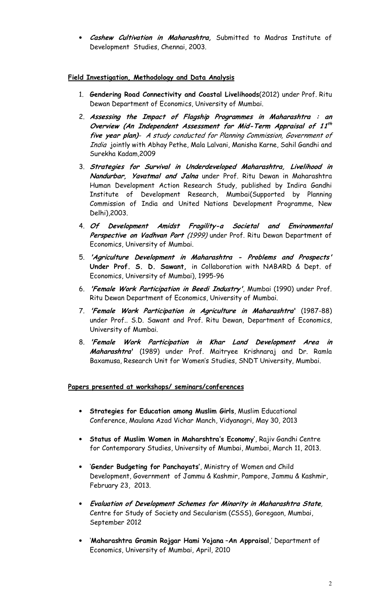• **Cashew Cultivation in Maharashtra,** Submitted to Madras Institute of Development Studies, Chennai, 2003.

# **Field Investigation, Methodology and Data Analysis**

- 1. **Gendering Road Connectivity and Coastal Livelihoods**(2012) under Prof. Ritu Dewan Department of Economics, University of Mumbai.
- 2. **Assessing the Impact of Flagship Programmes in Maharashtra : an Overview (An Independent Assessment for Mid-Term Appraisal of 11 th five year plan)**- A study conducted for Planning Commission, Government of India jointly with Abhay Pethe, Mala Lalvani, Manisha Karne, Sahil Gandhi and Surekha Kadam,2009
- 3. **Strategies for Survival in Underdeveloped Maharashtra, Livelihood in Nandurbar, Yavatmal and Jalna** under Prof. Ritu Dewan in Maharashtra Human Development Action Research Study, published by Indira Gandhi Institute of Development Research, Mumbai(Supported by Planning Commission of India and United Nations Development Programme, New Delhi),2003.
- 4. **Of Development Amidst Fragility-a Societal and Environmental**  Perspective on Vadhvan Port (1999) under Prof. Ritu Dewan Department of Economics, University of Mumbai.
- 5. **'Agriculture Development in Maharashtra Problems and Prospects' Under Prof. S. D. Sawant,** in Collaboration with NABARD & Dept. of Economics, University of Mumbai), 1995-96
- 6. **'Female Work Participation in Beedi Industry'**, Mumbai (1990) under Prof. Ritu Dewan Department of Economics, University of Mumbai.
- 7. **'Female Work Participation in Agriculture in Maharashtra'** (1987-88) under Prof.. S.D. Sawant and Prof. Ritu Dewan, Department of Economics, University of Mumbai.
- 8. **'Female Work Participation in Khar Land Development Area in Maharashtra'** (1989) under Prof. Maitryee Krishnaraj and Dr. Ramla Baxamusa, Research Unit for Women's Studies, SNDT University, Mumbai.

## **Papers presented at workshops/ seminars/conferences**

- **Strategies for Education among Muslim Girls**, Muslim Educational Conference, Maulana Azad Vichar Manch, Vidyanagri, May 30, 2013
- **Status of Muslim Women in Maharshtra's Economy'**, Rajiv Gandhi Centre for Contemporary Studies, University of Mumbai, Mumbai, March 11, 2013.
- '**Gender Budgeting for Panchayats'**, Ministry of Women and Child Development, Government of Jammu & Kashmir, Pampore, Jammu & Kashmir, February 23, 2013.
- **Evaluation of Development Schemes for Minority in Maharashtra State**, Centre for Study of Society and Secularism (CSSS), Goregaon, Mumbai, September 2012
- '**Maharashtra Gramin Rojgar Hami Yojana** –**An Appraisal**,' Department of Economics, University of Mumbai, April, 2010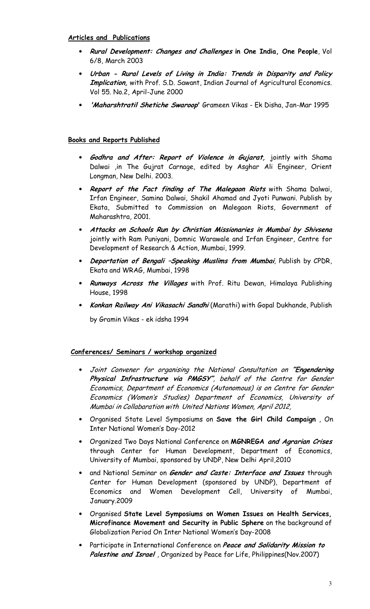#### **Articles and Publications**

- **Rural Development: Changes and Challenges in One India, One People**, Vol 6/8, March 2003
- **Urban Rural Levels of Living in India: Trends in Disparity and Policy Implication,** with Prof. S.D. Sawant, Indian Journal of Agricultural Economics. Vol 55. No.2, April-June 2000
- **'Maharshtratil Shetiche Swaroop'** Grameen Vikas Ek Disha, Jan-Mar 1995

#### **Books and Reports Published**

- **Godhra and After: Report of Violence in Gujarat,** jointly with Shama Dalwai ,in The Gujrat Carnage, edited by Asghar Ali Engineer, Orient Longman, New Delhi. 2003.
- **Report of the Fact finding of The Malegaon Riots** with Shama Dalwai, Irfan Engineer, Samina Dalwai, Shakil Ahamad and Jyoti Punwani. Publish by Ekata, Submitted to Commission on Malegaon Riots, Government of Maharashtra, 2001.
- **Attacks on Schools Run by Christian Missionaries in Mumbai by Shivsena** jointly with Ram Puniyani, Domnic Warawale and Irfan Engineer, Centre for Development of Research & Action, Mumbai, 1999.
- **Deportation of Bengali –Speaking Muslims from Mumbai**, Publish by CPDR, Ekata and WRAG, Mumbai, 1998
- **Runways Across the Villages** with Prof. Ritu Dewan, Himalaya Publishing House, 1998
- **Konkan Railway Ani Vikasachi Sandhi** (Marathi) with Gopal Dukhande, Publish by Gramin Vikas - ek idsha 1994

#### **Conferences/ Seminars / workshop organized**

- Joint Convener for organising the National Consultation on **"Engendering Physical Infrastructure via PMGSY"**, behalf of the Centre for Gender Economics, Department of Economics (Autonomous) is on Centre for Gender Economics (Women's Studies) Department of Economics, University of Mumbai in Collabaration with United Nations Women, April 2012,
- Organised State Level Symposiums on **Save the Girl Child Campaign** , On Inter National Women's Day-2012
- Organized Two Days National Conference on **MGNREGA and Agrarian Crises** through Center for Human Development, Department of Economics, University of Mumbai, sponsored by UNDP, New Delhi April,2010
- and National Seminar on **Gender and Caste: Interface and Issues** through Center for Human Development (sponsored by UNDP), Department of Economics and Women Development Cell, University of Mumbai, January.2009
- Organised **State Level Symposiums on Women Issues on Health Services, Microfinance Movement and Security in Public Sphere** on the background of Globalization Period On Inter National Women's Day-2008
- Participate in International Conference on **Peace and Solidarity Mission to Palestine and Israel** , Organized by Peace for Life, Philippines(Nov.2007)